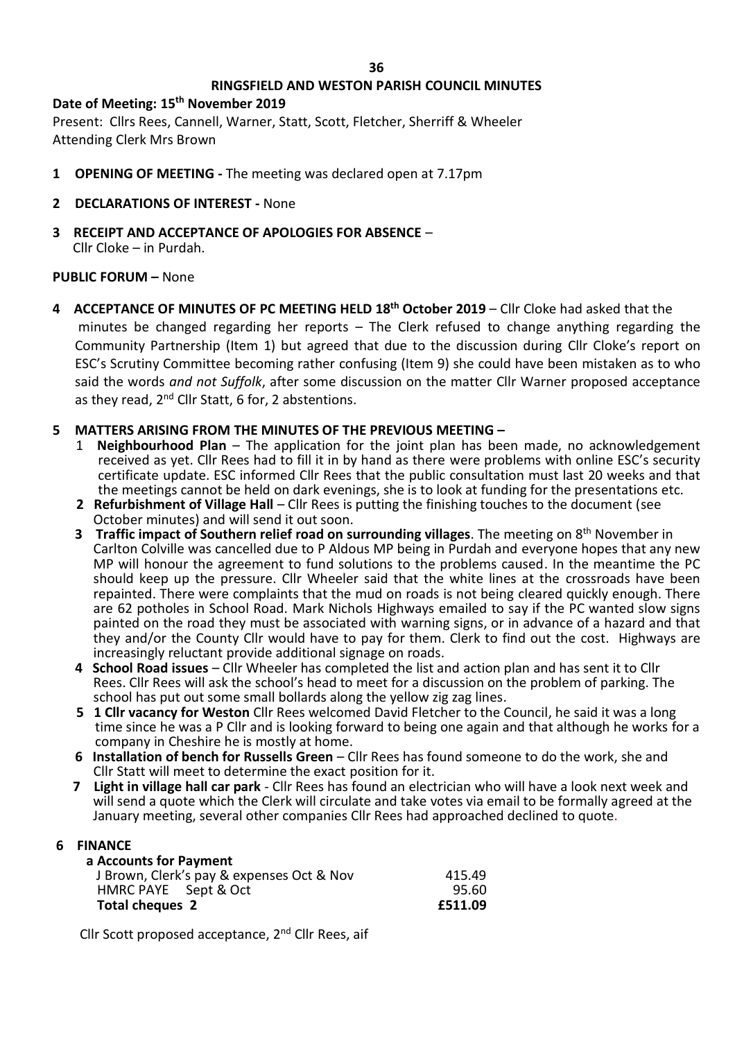#### **36**

# **RINGSFIELD AND WESTON PARISH COUNCIL MINUTES**

**Date of Meeting: 15th November 2019** Present: Cllrs Rees, Cannell, Warner, Statt, Scott, Fletcher, Sherriff & Wheeler Attending Clerk Mrs Brown

- **1 OPENING OF MEETING -** The meeting was declared open at 7.17pm
- **2 DECLARATIONS OF INTEREST -** None
- **3 RECEIPT AND ACCEPTANCE OF APOLOGIES FOR ABSENCE** Cllr Cloke – in Purdah.

# **PUBLIC FORUM –** None

**4 ACCEPTANCE OF MINUTES OF PC MEETING HELD 18th October 2019** – Cllr Cloke had asked that the minutes be changed regarding her reports – The Clerk refused to change anything regarding the Community Partnership (Item 1) but agreed that due to the discussion during Cllr Cloke's report on ESC's Scrutiny Committee becoming rather confusing (Item 9) she could have been mistaken as to who said the words *and not Suffolk*, after some discussion on the matter Cllr Warner proposed acceptance as they read, 2<sup>nd</sup> Cllr Statt, 6 for, 2 abstentions.

# **5 MATTERS ARISING FROM THE MINUTES OF THE PREVIOUS MEETING –**

- 1 **Neighbourhood Plan** The application for the joint plan has been made, no acknowledgement received as yet. Cllr Rees had to fill it in by hand as there were problems with online ESC's security certificate update. ESC informed Cllr Rees that the public consultation must last 20 weeks and that the meetings cannot be held on dark evenings, she is to look at funding for the presentations etc.
- **2 Refurbishment of Village Hall** Cllr Rees is putting the finishing touches to the document (see October minutes) and will send it out soon.
- **3 Traffic impact of Southern relief road on surrounding villages**. The meeting on 8th November in Carlton Colville was cancelled due to P Aldous MP being in Purdah and everyone hopes that any new MP will honour the agreement to fund solutions to the problems caused. In the meantime the PC should keep up the pressure. Cllr Wheeler said that the white lines at the crossroads have been repainted. There were complaints that the mud on roads is not being cleared quickly enough. There are 62 potholes in School Road. Mark Nichols Highways emailed to say if the PC wanted slow signs painted on the road they must be associated with warning signs, or in advance of a hazard and that they and/or the County Cllr would have to pay for them. Clerk to find out the cost. Highways are increasingly reluctant provide additional signage on roads.
- **4 School Road issues** Cllr Wheeler has completed the list and action plan and has sent it to Cllr Rees. Cllr Rees will ask the school's head to meet for a discussion on the problem of parking. The school has put out some small bollards along the yellow zig zag lines.
- **5 1 Cllr vacancy for Weston** Cllr Rees welcomed David Fletcher to the Council, he said it was a long time since he was a P Cllr and is looking forward to being one again and that although he works for a company in Cheshire he is mostly at home.
- **6 Installation of bench for Russells Green** Cllr Rees has found someone to do the work, she and Cllr Statt will meet to determine the exact position for it.
- **7 Light in village hall car park** Cllr Rees has found an electrician who will have a look next week and will send a quote which the Clerk will circulate and take votes via email to be formally agreed at the January meeting, several other companies Cllr Rees had approached declined to quote.

# **6 FINANCE**

| a Accounts for Payment                    |         |
|-------------------------------------------|---------|
| J Brown, Clerk's pay & expenses Oct & Nov | 415.49  |
| HMRC PAYE Sept & Oct                      | 95.60   |
| Total cheques 2                           | £511.09 |

Cllr Scott proposed acceptance, 2nd Cllr Rees, aif